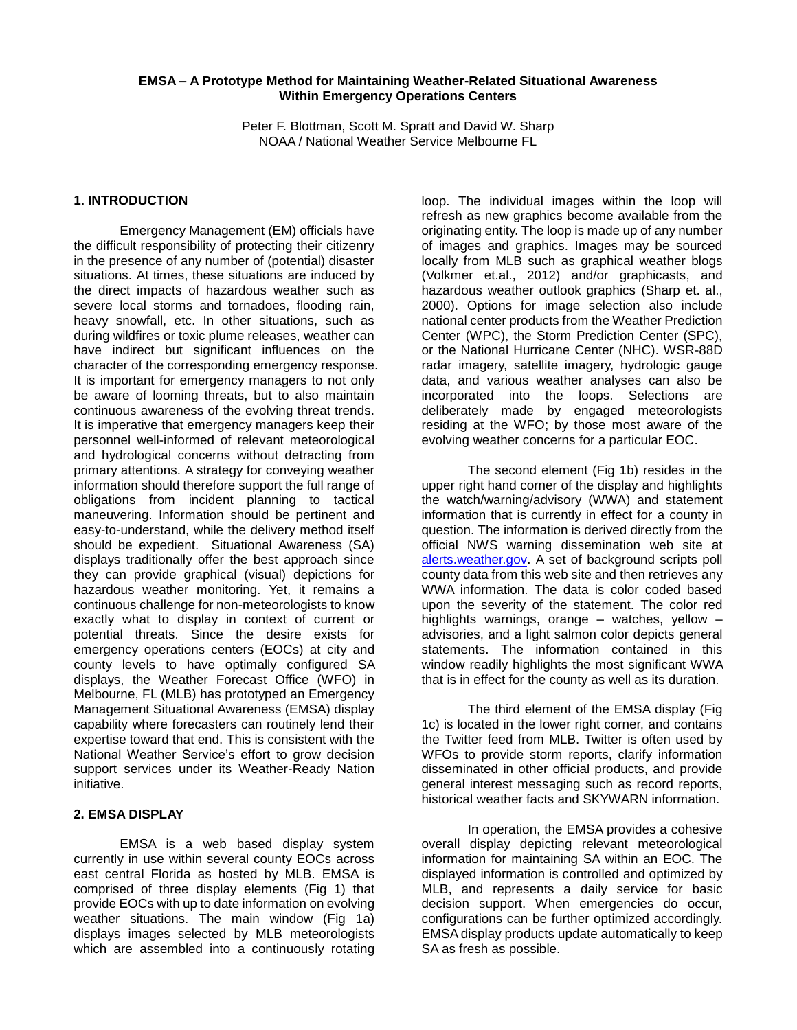#### **EMSA – A Prototype Method for Maintaining Weather-Related Situational Awareness Within Emergency Operations Centers**

Peter F. Blottman, Scott M. Spratt and David W. Sharp NOAA / National Weather Service Melbourne FL

## **1. INTRODUCTION**

Emergency Management (EM) officials have the difficult responsibility of protecting their citizenry in the presence of any number of (potential) disaster situations. At times, these situations are induced by the direct impacts of hazardous weather such as severe local storms and tornadoes, flooding rain, heavy snowfall, etc. In other situations, such as during wildfires or toxic plume releases, weather can have indirect but significant influences on the character of the corresponding emergency response. It is important for emergency managers to not only be aware of looming threats, but to also maintain continuous awareness of the evolving threat trends. It is imperative that emergency managers keep their personnel well-informed of relevant meteorological and hydrological concerns without detracting from primary attentions. A strategy for conveying weather information should therefore support the full range of obligations from incident planning to tactical maneuvering. Information should be pertinent and easy-to-understand, while the delivery method itself should be expedient. Situational Awareness (SA) displays traditionally offer the best approach since they can provide graphical (visual) depictions for hazardous weather monitoring. Yet, it remains a continuous challenge for non-meteorologists to know exactly what to display in context of current or potential threats. Since the desire exists for emergency operations centers (EOCs) at city and county levels to have optimally configured SA displays, the Weather Forecast Office (WFO) in Melbourne, FL (MLB) has prototyped an Emergency Management Situational Awareness (EMSA) display capability where forecasters can routinely lend their expertise toward that end. This is consistent with the National Weather Service's effort to grow decision support services under its Weather-Ready Nation initiative.

## **2. EMSA DISPLAY**

EMSA is a web based display system currently in use within several county EOCs across east central Florida as hosted by MLB. EMSA is comprised of three display elements (Fig 1) that provide EOCs with up to date information on evolving weather situations. The main window (Fig 1a) displays images selected by MLB meteorologists which are assembled into a continuously rotating

loop. The individual images within the loop will refresh as new graphics become available from the originating entity. The loop is made up of any number of images and graphics. Images may be sourced locally from MLB such as graphical weather blogs (Volkmer et.al., 2012) and/or graphicasts, and hazardous weather outlook graphics (Sharp et. al., 2000). Options for image selection also include national center products from the Weather Prediction Center (WPC), the Storm Prediction Center (SPC), or the National Hurricane Center (NHC). WSR-88D radar imagery, satellite imagery, hydrologic gauge data, and various weather analyses can also be incorporated into the loops. Selections are deliberately made by engaged meteorologists residing at the WFO; by those most aware of the evolving weather concerns for a particular EOC.

The second element (Fig 1b) resides in the upper right hand corner of the display and highlights the watch/warning/advisory (WWA) and statement information that is currently in effect for a county in question. The information is derived directly from the official NWS warning dissemination web site at [alerts.weather.gov.](http://www.alerts.weather.gov/) A set of background scripts poll county data from this web site and then retrieves any WWA information. The data is color coded based upon the severity of the statement. The color red highlights warnings, orange – watches, yellow – advisories, and a light salmon color depicts general statements. The information contained in this window readily highlights the most significant WWA that is in effect for the county as well as its duration.

The third element of the EMSA display (Fig 1c) is located in the lower right corner, and contains the Twitter feed from MLB. Twitter is often used by WFOs to provide storm reports, clarify information disseminated in other official products, and provide general interest messaging such as record reports, historical weather facts and SKYWARN information.

In operation, the EMSA provides a cohesive overall display depicting relevant meteorological information for maintaining SA within an EOC. The displayed information is controlled and optimized by MLB, and represents a daily service for basic decision support. When emergencies do occur, configurations can be further optimized accordingly. EMSA display products update automatically to keep SA as fresh as possible.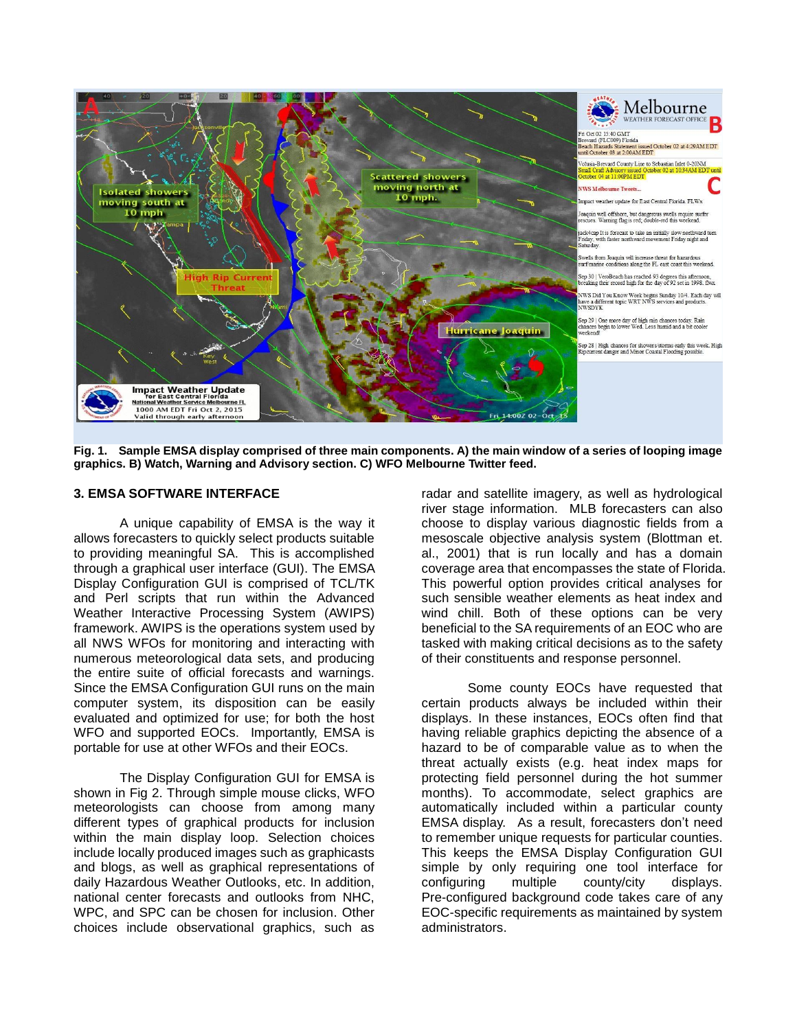

**Fig. 1. Sample EMSA display comprised of three main components. A) the main window of a series of looping image graphics. B) Watch, Warning and Advisory section. C) WFO Melbourne Twitter feed.**

#### **3. EMSA SOFTWARE INTERFACE**

A unique capability of EMSA is the way it allows forecasters to quickly select products suitable to providing meaningful SA. This is accomplished through a graphical user interface (GUI). The EMSA Display Configuration GUI is comprised of TCL/TK and Perl scripts that run within the Advanced Weather Interactive Processing System (AWIPS) framework. AWIPS is the operations system used by all NWS WFOs for monitoring and interacting with numerous meteorological data sets, and producing the entire suite of official forecasts and warnings. Since the EMSA Configuration GUI runs on the main computer system, its disposition can be easily evaluated and optimized for use; for both the host WFO and supported EOCs. Importantly, EMSA is portable for use at other WFOs and their EOCs.

The Display Configuration GUI for EMSA is shown in Fig 2. Through simple mouse clicks, WFO meteorologists can choose from among many different types of graphical products for inclusion within the main display loop. Selection choices include locally produced images such as graphicasts and blogs, as well as graphical representations of daily Hazardous Weather Outlooks, etc. In addition, national center forecasts and outlooks from NHC, WPC, and SPC can be chosen for inclusion. Other choices include observational graphics, such as

radar and satellite imagery, as well as hydrological river stage information. MLB forecasters can also choose to display various diagnostic fields from a mesoscale objective analysis system (Blottman et. al., 2001) that is run locally and has a domain coverage area that encompasses the state of Florida. This powerful option provides critical analyses for such sensible weather elements as heat index and wind chill. Both of these options can be very beneficial to the SA requirements of an EOC who are tasked with making critical decisions as to the safety of their constituents and response personnel.

Some county EOCs have requested that certain products always be included within their displays. In these instances, EOCs often find that having reliable graphics depicting the absence of a hazard to be of comparable value as to when the threat actually exists (e.g. heat index maps for protecting field personnel during the hot summer months). To accommodate, select graphics are automatically included within a particular county EMSA display. As a result, forecasters don't need to remember unique requests for particular counties. This keeps the EMSA Display Configuration GUI simple by only requiring one tool interface for configuring multiple county/city displays. Pre-configured background code takes care of any EOC-specific requirements as maintained by system administrators.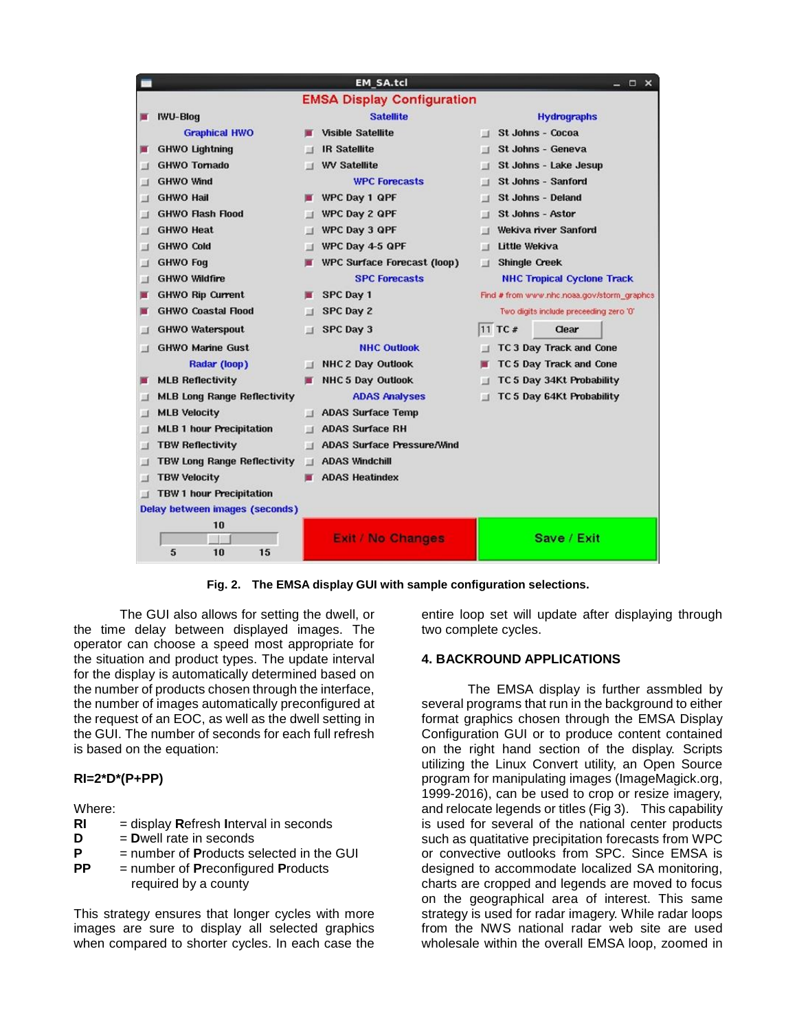

**Fig. 2. The EMSA display GUI with sample configuration selections.**

The GUI also allows for setting the dwell, or the time delay between displayed images. The operator can choose a speed most appropriate for the situation and product types. The update interval for the display is automatically determined based on the number of products chosen through the interface, the number of images automatically preconfigured at the request of an EOC, as well as the dwell setting in the GUI. The number of seconds for each full refresh is based on the equation:

# **RI=2\*D\*(P+PP)**

## Where:

- **RI** = display **R**efresh **I**nterval in seconds
- **D** = **D**well rate in seconds
- **P** = number of **P**roducts selected in the GUI
- **PP** = number of **P**reconfigured **P**roducts required by a county

This strategy ensures that longer cycles with more images are sure to display all selected graphics when compared to shorter cycles. In each case the

entire loop set will update after displaying through two complete cycles.

## **4. BACKROUND APPLICATIONS**

The EMSA display is further assmbled by several programs that run in the background to either format graphics chosen through the EMSA Display Configuration GUI or to produce content contained on the right hand section of the display. Scripts utilizing the Linux Convert utility, an Open Source program for manipulating images (ImageMagick.org, 1999-2016), can be used to crop or resize imagery, and relocate legends or titles (Fig 3). This capability is used for several of the national center products such as quatitative precipitation forecasts from WPC or convective outlooks from SPC. Since EMSA is designed to accommodate localized SA monitoring, charts are cropped and legends are moved to focus on the geographical area of interest. This same strategy is used for radar imagery. While radar loops from the NWS national radar web site are used wholesale within the overall EMSA loop, zoomed in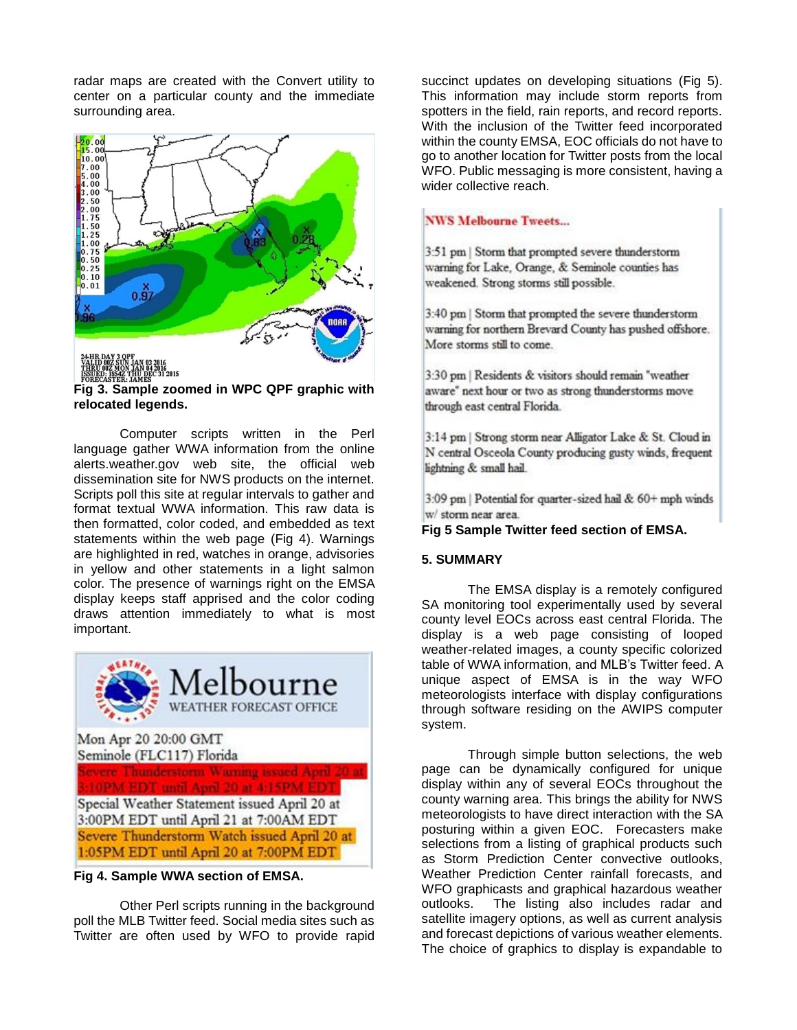radar maps are created with the Convert utility to center on a particular county and the immediate surrounding area.



**Fig 3. Sample zoomed in WPC QPF graphic with relocated legends.**

Computer scripts written in the Perl language gather WWA information from the online alerts.weather.gov web site, the official web dissemination site for NWS products on the internet. Scripts poll this site at regular intervals to gather and format textual WWA information. This raw data is then formatted, color coded, and embedded as text statements within the web page (Fig 4). Warnings are highlighted in red, watches in orange, advisories in yellow and other statements in a light salmon color. The presence of warnings right on the EMSA display keeps staff apprised and the color coding draws attention immediately to what is most important.



**Fig 4. Sample WWA section of EMSA.**

Other Perl scripts running in the background poll the MLB Twitter feed. Social media sites such as Twitter are often used by WFO to provide rapid

succinct updates on developing situations (Fig 5). This information may include storm reports from spotters in the field, rain reports, and record reports. With the inclusion of the Twitter feed incorporated within the county EMSA, EOC officials do not have to go to another location for Twitter posts from the local WFO. Public messaging is more consistent, having a wider collective reach.

# **NWS Melbourne Tweets...**

3:51 pm | Storm that prompted severe thunderstorm warning for Lake, Orange, & Seminole counties has weakened. Strong storms still possible.

3:40 pm | Storm that prompted the severe thunderstorm warning for northern Brevard County has pushed offshore. More storms still to come.

3:30 pm | Residents & visitors should remain "weather aware" next hour or two as strong thunderstorms move through east central Florida.

3:14 pm | Strong storm near Alligator Lake & St. Cloud in N central Osceola County producing gusty winds, frequent lightning & small hail.

3:09 pm | Potential for quarter-sized hail & 60+ mph winds w/ storm near area.

## **Fig 5 Sample Twitter feed section of EMSA.**

## **5. SUMMARY**

The EMSA display is a remotely configured SA monitoring tool experimentally used by several county level EOCs across east central Florida. The display is a web page consisting of looped weather-related images, a county specific colorized table of WWA information, and MLB's Twitter feed. A unique aspect of EMSA is in the way WFO meteorologists interface with display configurations through software residing on the AWIPS computer system.

Through simple button selections, the web page can be dynamically configured for unique display within any of several EOCs throughout the county warning area. This brings the ability for NWS meteorologists to have direct interaction with the SA posturing within a given EOC. Forecasters make selections from a listing of graphical products such as Storm Prediction Center convective outlooks, Weather Prediction Center rainfall forecasts, and WFO graphicasts and graphical hazardous weather outlooks. The listing also includes radar and satellite imagery options, as well as current analysis and forecast depictions of various weather elements. The choice of graphics to display is expandable to